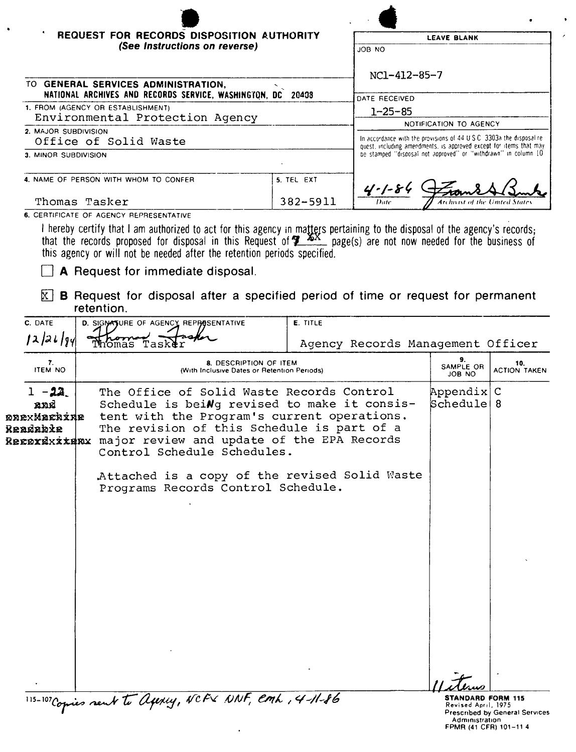| REQUEST FOR RECORDS DISPOSITION AUTHORITY<br><b>LEAVE BLANK</b><br>(See Instructions on reverse)<br>JOB NO<br>NC1-412-85-7<br>TO GENERAL SERVICES ADMINISTRATION,<br>NATIONAL ARCHIVES AND RECORDS SERVICE, WASHINGTON, DC 20408<br>DATE RECEIVED<br>1. FROM (AGENCY OR ESTABLISHMENT)<br>$1 - 25 - 85$<br>Environmental Protection Agency<br>NOTIFICATION TO AGENCY<br>2. MAJOR SUBDIVISION<br>In accordance with the provisions of $44 \text{ U } S \text{ C } 3303$ a the disposal re-<br>Office of Solid Waste<br>quest, including amendments, is approved except for items that may<br>be stamped "disposal not approved" or "withdrawn" in column 10.<br>3. MINOR SUBDIVISION<br>4. NAME OF PERSON WITH WHOM TO CONFER<br>5. TEL EXT<br>$4 - 1 - 84$<br>Thomas Tasker<br>382-5911<br>Date<br>Archivist of the United Stai<br>6. CERTIFICATE OF AGENCY REPRESENTATIVE<br>I hereby certify that I am authorized to act for this agency in matters pertaining to the disposal of the agency's records;<br>that the records proposed for disposal in this Request of <b>7</b> XX page(s) are not now needed for the business of<br>this agency or will not be needed after the retention periods specified.<br>A Request for immediate disposal.<br>ΙxΙ<br><b>B</b> Request for disposal after a specified period of time or request for permanent<br>retention.<br>C. DATE<br>E. TITLE<br>D. SIGNATURE OF AGENCY REPRESENTATIVE<br>12/21/94<br>Thomas Taske<br>Agency Records Management Officer<br>9.<br>7.<br>8. DESCRIPTION OF ITEM<br>10.<br>SAMPLE OR<br><b>ITEM NO</b><br>(With Inclusive Dates or Retention Periods)<br>JOB NO<br>$1 - 22$<br>The Office of Solid Waste Records Control<br>Appendix C<br>Schedule <br>Schedule is beiNg revised to make it consis-<br>8<br>and<br>tent with the Program's current operations.<br><b>ønexMachide</b><br>The revision of this Schedule is part of a<br>Readabie<br>REEDYEXXXENX major review and update of the EPA Records<br>Control Schedule Schedules.<br>Attached is a copy of the revised Solid Waste<br>Programs Records Control Schedule. |  |  |                     |
|----------------------------------------------------------------------------------------------------------------------------------------------------------------------------------------------------------------------------------------------------------------------------------------------------------------------------------------------------------------------------------------------------------------------------------------------------------------------------------------------------------------------------------------------------------------------------------------------------------------------------------------------------------------------------------------------------------------------------------------------------------------------------------------------------------------------------------------------------------------------------------------------------------------------------------------------------------------------------------------------------------------------------------------------------------------------------------------------------------------------------------------------------------------------------------------------------------------------------------------------------------------------------------------------------------------------------------------------------------------------------------------------------------------------------------------------------------------------------------------------------------------------------------------------------------------------------------------------------------------------------------------------------------------------------------------------------------------------------------------------------------------------------------------------------------------------------------------------------------------------------------------------------------------------------------------------------------------------------------------------------------------------------------------------------------------------------------------------------------|--|--|---------------------|
|                                                                                                                                                                                                                                                                                                                                                                                                                                                                                                                                                                                                                                                                                                                                                                                                                                                                                                                                                                                                                                                                                                                                                                                                                                                                                                                                                                                                                                                                                                                                                                                                                                                                                                                                                                                                                                                                                                                                                                                                                                                                                                          |  |  |                     |
|                                                                                                                                                                                                                                                                                                                                                                                                                                                                                                                                                                                                                                                                                                                                                                                                                                                                                                                                                                                                                                                                                                                                                                                                                                                                                                                                                                                                                                                                                                                                                                                                                                                                                                                                                                                                                                                                                                                                                                                                                                                                                                          |  |  |                     |
|                                                                                                                                                                                                                                                                                                                                                                                                                                                                                                                                                                                                                                                                                                                                                                                                                                                                                                                                                                                                                                                                                                                                                                                                                                                                                                                                                                                                                                                                                                                                                                                                                                                                                                                                                                                                                                                                                                                                                                                                                                                                                                          |  |  |                     |
|                                                                                                                                                                                                                                                                                                                                                                                                                                                                                                                                                                                                                                                                                                                                                                                                                                                                                                                                                                                                                                                                                                                                                                                                                                                                                                                                                                                                                                                                                                                                                                                                                                                                                                                                                                                                                                                                                                                                                                                                                                                                                                          |  |  |                     |
|                                                                                                                                                                                                                                                                                                                                                                                                                                                                                                                                                                                                                                                                                                                                                                                                                                                                                                                                                                                                                                                                                                                                                                                                                                                                                                                                                                                                                                                                                                                                                                                                                                                                                                                                                                                                                                                                                                                                                                                                                                                                                                          |  |  |                     |
|                                                                                                                                                                                                                                                                                                                                                                                                                                                                                                                                                                                                                                                                                                                                                                                                                                                                                                                                                                                                                                                                                                                                                                                                                                                                                                                                                                                                                                                                                                                                                                                                                                                                                                                                                                                                                                                                                                                                                                                                                                                                                                          |  |  |                     |
|                                                                                                                                                                                                                                                                                                                                                                                                                                                                                                                                                                                                                                                                                                                                                                                                                                                                                                                                                                                                                                                                                                                                                                                                                                                                                                                                                                                                                                                                                                                                                                                                                                                                                                                                                                                                                                                                                                                                                                                                                                                                                                          |  |  |                     |
|                                                                                                                                                                                                                                                                                                                                                                                                                                                                                                                                                                                                                                                                                                                                                                                                                                                                                                                                                                                                                                                                                                                                                                                                                                                                                                                                                                                                                                                                                                                                                                                                                                                                                                                                                                                                                                                                                                                                                                                                                                                                                                          |  |  |                     |
|                                                                                                                                                                                                                                                                                                                                                                                                                                                                                                                                                                                                                                                                                                                                                                                                                                                                                                                                                                                                                                                                                                                                                                                                                                                                                                                                                                                                                                                                                                                                                                                                                                                                                                                                                                                                                                                                                                                                                                                                                                                                                                          |  |  |                     |
|                                                                                                                                                                                                                                                                                                                                                                                                                                                                                                                                                                                                                                                                                                                                                                                                                                                                                                                                                                                                                                                                                                                                                                                                                                                                                                                                                                                                                                                                                                                                                                                                                                                                                                                                                                                                                                                                                                                                                                                                                                                                                                          |  |  |                     |
|                                                                                                                                                                                                                                                                                                                                                                                                                                                                                                                                                                                                                                                                                                                                                                                                                                                                                                                                                                                                                                                                                                                                                                                                                                                                                                                                                                                                                                                                                                                                                                                                                                                                                                                                                                                                                                                                                                                                                                                                                                                                                                          |  |  |                     |
|                                                                                                                                                                                                                                                                                                                                                                                                                                                                                                                                                                                                                                                                                                                                                                                                                                                                                                                                                                                                                                                                                                                                                                                                                                                                                                                                                                                                                                                                                                                                                                                                                                                                                                                                                                                                                                                                                                                                                                                                                                                                                                          |  |  |                     |
|                                                                                                                                                                                                                                                                                                                                                                                                                                                                                                                                                                                                                                                                                                                                                                                                                                                                                                                                                                                                                                                                                                                                                                                                                                                                                                                                                                                                                                                                                                                                                                                                                                                                                                                                                                                                                                                                                                                                                                                                                                                                                                          |  |  |                     |
|                                                                                                                                                                                                                                                                                                                                                                                                                                                                                                                                                                                                                                                                                                                                                                                                                                                                                                                                                                                                                                                                                                                                                                                                                                                                                                                                                                                                                                                                                                                                                                                                                                                                                                                                                                                                                                                                                                                                                                                                                                                                                                          |  |  |                     |
|                                                                                                                                                                                                                                                                                                                                                                                                                                                                                                                                                                                                                                                                                                                                                                                                                                                                                                                                                                                                                                                                                                                                                                                                                                                                                                                                                                                                                                                                                                                                                                                                                                                                                                                                                                                                                                                                                                                                                                                                                                                                                                          |  |  |                     |
|                                                                                                                                                                                                                                                                                                                                                                                                                                                                                                                                                                                                                                                                                                                                                                                                                                                                                                                                                                                                                                                                                                                                                                                                                                                                                                                                                                                                                                                                                                                                                                                                                                                                                                                                                                                                                                                                                                                                                                                                                                                                                                          |  |  |                     |
|                                                                                                                                                                                                                                                                                                                                                                                                                                                                                                                                                                                                                                                                                                                                                                                                                                                                                                                                                                                                                                                                                                                                                                                                                                                                                                                                                                                                                                                                                                                                                                                                                                                                                                                                                                                                                                                                                                                                                                                                                                                                                                          |  |  |                     |
|                                                                                                                                                                                                                                                                                                                                                                                                                                                                                                                                                                                                                                                                                                                                                                                                                                                                                                                                                                                                                                                                                                                                                                                                                                                                                                                                                                                                                                                                                                                                                                                                                                                                                                                                                                                                                                                                                                                                                                                                                                                                                                          |  |  |                     |
|                                                                                                                                                                                                                                                                                                                                                                                                                                                                                                                                                                                                                                                                                                                                                                                                                                                                                                                                                                                                                                                                                                                                                                                                                                                                                                                                                                                                                                                                                                                                                                                                                                                                                                                                                                                                                                                                                                                                                                                                                                                                                                          |  |  | <b>ACTION TAKEN</b> |
|                                                                                                                                                                                                                                                                                                                                                                                                                                                                                                                                                                                                                                                                                                                                                                                                                                                                                                                                                                                                                                                                                                                                                                                                                                                                                                                                                                                                                                                                                                                                                                                                                                                                                                                                                                                                                                                                                                                                                                                                                                                                                                          |  |  |                     |

 $\sim$ 

 $\bar{\mathbf{A}}$ 

Prescribed by General Services<br>Administration<br>FPMR (41 CFR) 101-11 4

 $\bullet$ 

 $\hat{\mathcal{E}}$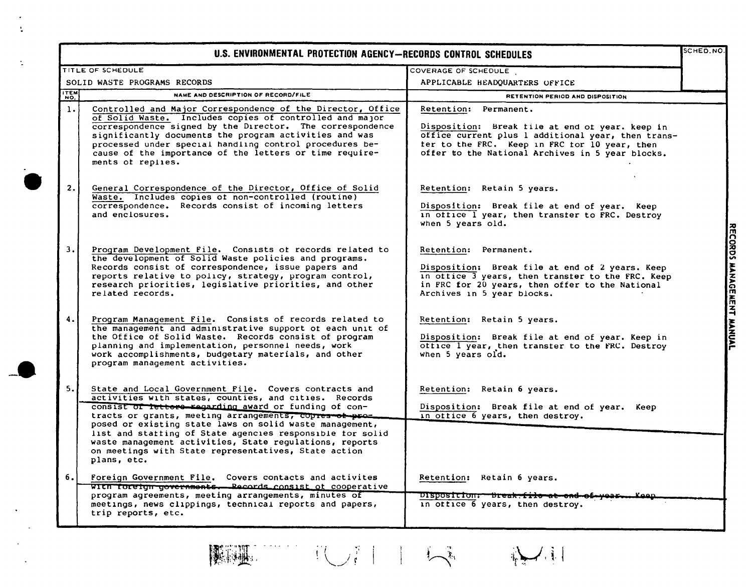| TITLE OF SCHEDULE |                                                                                                                                                                                                                                                                                                                                                                                                                                                                                             | U.S. ENVIRONMENTAL PROTECTION AGENCY-RECORDS CONTROL SCHEDULES                                                                                                                                                                      |  |
|-------------------|---------------------------------------------------------------------------------------------------------------------------------------------------------------------------------------------------------------------------------------------------------------------------------------------------------------------------------------------------------------------------------------------------------------------------------------------------------------------------------------------|-------------------------------------------------------------------------------------------------------------------------------------------------------------------------------------------------------------------------------------|--|
|                   |                                                                                                                                                                                                                                                                                                                                                                                                                                                                                             | COVERAGE OF SCHEDULE                                                                                                                                                                                                                |  |
|                   | SOLID WASTE PROGRAMS RECORDS                                                                                                                                                                                                                                                                                                                                                                                                                                                                | APPLICABLE HEADQUARTERS OFFICE                                                                                                                                                                                                      |  |
| ITEM              | NAME AND DESCRIPTION OF RECORD/FILE                                                                                                                                                                                                                                                                                                                                                                                                                                                         | RETENTION PERIOD AND DISPOSITION                                                                                                                                                                                                    |  |
| 1.                | Controlled and Major Correspondence of the Director, Office<br>of Solid Waste. Includes copies of controlled and major<br>correspondence signed by the Director. The correspondence<br>significantly documents the program activities and was<br>processed under special handling control procedures be-<br>cause of the importance of the letters or time require-<br>ments of replies.                                                                                                    | Retention: Permanent.<br>Disposition: Break file at end of year. keep in<br>office current plus 1 additional year, then trans-<br>ter to the FRC. Keep in FRC for 10 year, then<br>offer to the National Archives in 5 year blocks. |  |
| 2.                | General Correspondence of the Director, Office of Solid<br>Waste. Includes copies of non-controlled (routine)<br>correspondence. Records consist of incoming letters<br>and enclosures.                                                                                                                                                                                                                                                                                                     | Retention: Retain 5 years.<br>Disposition: Break file at end of year. Keep<br>in office I year, then transfer to FRC. Destroy<br>when 5 years old.                                                                                  |  |
| 3.1               | Program Development File. Consists of records related to<br>the development of Solid Waste policies and programs.<br>Records consist of correspondence, issue papers and<br>reports relative to policy, strategy, program control,<br>research priorities, legislative priorities, and other<br>related records.                                                                                                                                                                            | Retention: Permanent.<br>Disposition: Break file at end of 2 years. Keep<br>in office 3 years, then transfer to the FRC. Keep<br>in FRC for 20 years, then offer to the National<br>Archives in 5 year blocks.                      |  |
| 4.                | Program Management File. Consists of records related to<br>the management and administrative support of each unit of<br>the Office of Solid Waste. Records consist of program<br>planning and implementation, personnel needs, work<br>work accomplishments, budgetary materials, and other<br>program management activities.                                                                                                                                                               | Retention: Retain 5 years.<br>Disposition: Break file at end of year. Keep in<br>office I year, then transter to the FRC. Destroy<br>when 5 years old.                                                                              |  |
| 5.                | State and Local Government File. Covers contracts and<br>activities with states, counties, and cities. Records<br>consist of fetters-regarding award or funding of con-<br>tracts or grants, meeting arrangements, copres of pro-<br>posed or existing state laws on solid waste management,<br>list and statting of State agencies responsible for solid<br>waste management activities, State regulations, reports<br>on meetings with State representatives, State action<br>plans, etc. | Retention: Retain 6 years.<br>Disposition: Break file at end of year. Keep<br>in office 6 years, then destroy.                                                                                                                      |  |
| 6.1               | Foreign Government File. Covers contacts and activites<br>WITH TOreign governments. Records consist of cooperative<br>program agreements, meeting arrangements, minutes of<br>meetings, news clippings, technical reports and papers,                                                                                                                                                                                                                                                       | Retention: Retain 6 years.<br>Disposition: Break-file at end of year.<br>in office 6 years, then destroy.                                                                                                                           |  |

 $\ddot{\cdot}$ 

TUIT LA NU 隐湿。  $\label{eq:2} \frac{1}{2} \left( \frac{1}{2} \left( \frac{1}{2} \left( \frac{1}{2} \right) \right) \right) \left( \frac{1}{2} \left( \frac{1}{2} \right) \right)$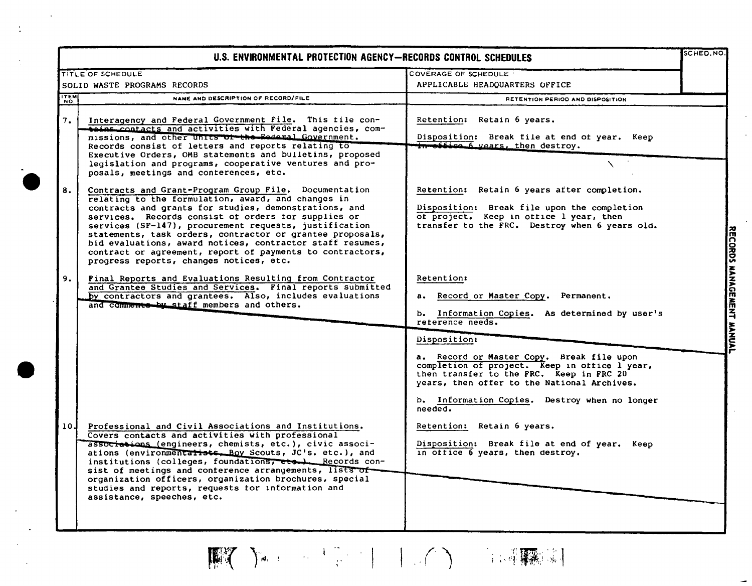| U.S. ENVIRONMENTAL PROTECTION AGENCY-RECORDS CONTROL SCHEDULES |                                                                                                                                                                                                                                                                                                                                                                                                                                                                                                                         |                                                                                                                                                                                                                                                                                                                                                                                     |                        |  |
|----------------------------------------------------------------|-------------------------------------------------------------------------------------------------------------------------------------------------------------------------------------------------------------------------------------------------------------------------------------------------------------------------------------------------------------------------------------------------------------------------------------------------------------------------------------------------------------------------|-------------------------------------------------------------------------------------------------------------------------------------------------------------------------------------------------------------------------------------------------------------------------------------------------------------------------------------------------------------------------------------|------------------------|--|
|                                                                | TITLE OF SCHEDULE                                                                                                                                                                                                                                                                                                                                                                                                                                                                                                       | COVERAGE OF SCHEDULE                                                                                                                                                                                                                                                                                                                                                                |                        |  |
|                                                                | SOLID WASTE PROGRAMS RECORDS                                                                                                                                                                                                                                                                                                                                                                                                                                                                                            | APPLICABLE HEADQUARTERS OFFICE                                                                                                                                                                                                                                                                                                                                                      |                        |  |
| ITEM                                                           | NAME AND DESCRIPTION OF RECORD/FILE                                                                                                                                                                                                                                                                                                                                                                                                                                                                                     | RETENTION PERIOD AND DISPOSITION                                                                                                                                                                                                                                                                                                                                                    |                        |  |
| 7.                                                             | Interagency and Federal Government File. This tile con-<br><b>Soins contacts and activities with Federal agencies, com-</b><br>missions, and other units of the Eederal Government.<br>Records consist of letters and reports relating to<br>Executive Orders, OMB statements and builetins, proposed<br>legislation and programs, cooperative ventures and pro-<br>posals, meetings and conterences, etc.                                                                                                              | Retention: Retain 6 years.<br>Disposition: Break file at end of year. Keep<br>in office 6 years, then destroy.                                                                                                                                                                                                                                                                      |                        |  |
| 8.                                                             | Contracts and Grant-Program Group File. Documentation<br>relating to the formulation, award, and changes in<br>contracts and grants for studies, demonstrations, and<br>services. Records consist of orders for supplies or<br>services (SF-147), procurement requests, justification<br>statements, task orders, contractor or grantee proposals,<br>bid evaluations, award notices, contractor staff resumes,<br>contract or agreement, report of payments to contractors,<br>progress reports, changes notices, etc. | Retention: Retain 6 years after completion.<br>Disposition: Break file upon the completion<br>of project. Keep in office I year, then<br>transfer to the FRC. Destroy when 6 years old.                                                                                                                                                                                             | <b>ECORDS MANAGEME</b> |  |
| 9.                                                             | Final Reports and Evaluations Resulting from Contractor<br>and Grantee Studies and Services. Final reports submitted<br>by contractors and grantees. Also, includes evaluations<br>and comments by staff members and others.                                                                                                                                                                                                                                                                                            | <b>Retention:</b><br>a. Record or Master Copy. Permanent.<br>b. Information Copies. As determined by user's<br>reterence needs.                                                                                                                                                                                                                                                     | $\ddot{=}$             |  |
| 10 J                                                           | Professional and Civil Associations and Institutions.<br>Covers contacts and activities with professional<br>associations (engineers, chemists, etc.), civic associ-<br>ations (environmentatists. Boy Scouts, JC's. etc.), and<br>institutions (colleges, foundations, etc.) Records con-<br>sist of meetings and conterence arrangements, lists of-<br>organization officers, organization brochures, special<br>studies and reports, requests for information and<br>assistance, speeches, etc.                      | Disposition:<br>a. Record or Master Copy. Break file upon<br>completion of project. Keep in office l year,<br>then transfer to the FRC. Keep in FRC 20<br>years, then offer to the National Archives.<br>b. Information Copies. Destroy when no longer<br>needed.<br>Retention: Retain 6 years.<br>Disposition: Break file at end of year. Keep<br>in office 6 years, then destroy. | <b>WANAAR</b>          |  |

 $\sim$ 

 $\frac{1}{2}$ 

 $\frac{1}{2}$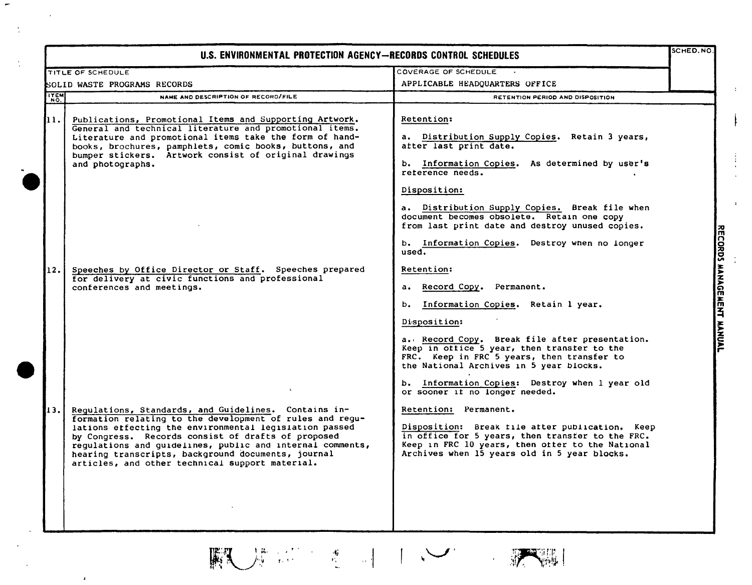|                              | U.S. ENVIRONMENTAL PROTECTION AGENCY-RECORDS CONTROL SCHEDULES                                                                                                                                                                                                                                                                                                                                         |                                                                                                                                                                                                                                                                                                                                                                                                                                                              | SCHED.NO.                 |
|------------------------------|--------------------------------------------------------------------------------------------------------------------------------------------------------------------------------------------------------------------------------------------------------------------------------------------------------------------------------------------------------------------------------------------------------|--------------------------------------------------------------------------------------------------------------------------------------------------------------------------------------------------------------------------------------------------------------------------------------------------------------------------------------------------------------------------------------------------------------------------------------------------------------|---------------------------|
|                              | <b>TITLE OF SCHEDULE</b>                                                                                                                                                                                                                                                                                                                                                                               | <b>COVERAGE OF SCHEDULE</b>                                                                                                                                                                                                                                                                                                                                                                                                                                  |                           |
| SOLID WASTE PROGRAMS RECORDS |                                                                                                                                                                                                                                                                                                                                                                                                        | APPLICABLE HEADQUARTERS OFFICE                                                                                                                                                                                                                                                                                                                                                                                                                               |                           |
| <b>ITEM</b><br>NO.           | NAME AND DESCRIPTION OF RECORD/FILE                                                                                                                                                                                                                                                                                                                                                                    | RETENTION PERIOD AND DISPOSITION                                                                                                                                                                                                                                                                                                                                                                                                                             |                           |
| 11.                          | Publications, Promotional Items and Supporting Artwork.<br>General and technical literature and promotional items.<br>Literature and promotional items take the form of hand-<br>books, brochures, pamphlets, comic books, buttons, and<br>bumper stickers. Artwork consist of original drawings<br>and photographs.                                                                                   | Retention:<br>a. Distribution Supply Copies. Retain 3 years,<br>after last print date.<br>b. Information Copies. As determined by user's<br>reterence needs.<br>Disposition:                                                                                                                                                                                                                                                                                 |                           |
| 12.                          | Speeches by Office Director or Staff. Speeches prepared<br>for delivery at civic functions and professional<br>conferences and meetings.                                                                                                                                                                                                                                                               | a. Distribution Supply Copies. Break file when<br>document becomes obsolete. Retain one copy<br>from last print date and destroy unused copies.<br>b. Information Copies. Destroy when no longer<br>used.<br>Retention:<br>Record Copy.<br>Permanent.<br>a. <b>.</b><br>b. Information Copies. Retain 1 year.<br>Disposition:<br>a. Record Copy. Break file after presentation.                                                                              | RECORDS MANAGEMENT MANUAL |
| 13.                          | Regulations, Standards, and Guidelines. Contains in-<br>formation relating to the development of rules and regu-<br>lations effecting the environmental legislation passed<br>by Congress. Records consist of drafts of proposed<br>regulations and guidelines, public and internal comments,<br>hearing transcripts, background documents, journal<br>articles, and other technical support material. | Keep in office 5 year, then transfer to the<br>FRC. Keep in FRC 5 years, then transfer to<br>the National Archives in 5 year blocks.<br>b. Information Copies: Destroy when I year old<br>or sooner if no longer needed.<br>Retention: Permanent.<br>Disposition: Break file after publication. Keep<br>in office for 5 years, then transfer to the FRC.<br>Keep in FRC 10 years, then offer to the National<br>Archives when 15 years old in 5 year blocks. |                           |

**TELESCOPE** 

Ť.

 $\frac{1}{\sqrt{2}}$ ,  $\frac{1}{\sqrt{2}}$ ,  $\frac{1}{\sqrt{2}}$ ,  $\frac{1}{\sqrt{2}}$ ,  $\frac{1}{\sqrt{2}}$ 

 $\mathbb{R}$ 

 $\overline{1}$ 

÷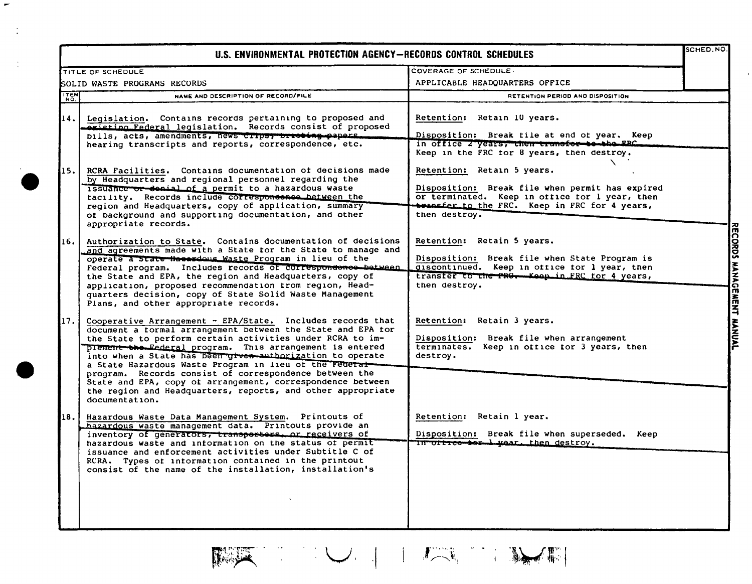|                              | U.S. ENVIRONMENTAL PROTECTION AGENCY-RECORDS CONTROL SCHEDULES                                                                                                                                                                                                                                                                                                                                                                                                                                                                                                                       |                                                                                                                                                                                                   | SCHED. NO. |
|------------------------------|--------------------------------------------------------------------------------------------------------------------------------------------------------------------------------------------------------------------------------------------------------------------------------------------------------------------------------------------------------------------------------------------------------------------------------------------------------------------------------------------------------------------------------------------------------------------------------------|---------------------------------------------------------------------------------------------------------------------------------------------------------------------------------------------------|------------|
|                              | TITLE OF SCHEDULE                                                                                                                                                                                                                                                                                                                                                                                                                                                                                                                                                                    | COVERAGE OF SCHEDULE.                                                                                                                                                                             |            |
| SOLID WASTE PROGRAMS RECORDS |                                                                                                                                                                                                                                                                                                                                                                                                                                                                                                                                                                                      | APPLICABLE HEADQUARTERS OFFICE                                                                                                                                                                    |            |
| <b>ITEM</b>                  | NAME AND DESCRIPTION OF RECORD/FILE                                                                                                                                                                                                                                                                                                                                                                                                                                                                                                                                                  | RETENTION PERIOD AND DISPOSITION                                                                                                                                                                  |            |
| 14. l                        | Legislation. Contains records pertaining to proposed and<br><b>Anisting Federal legislation.</b> Records consist of proposed<br>bills, acts, amendments, news crips, brioting papers.<br>hearing transcripts and reports, correspondence, etc.                                                                                                                                                                                                                                                                                                                                       | Retention: Retain 10 years.<br>Disposition: Break tile at end of year. Keep<br>in office 2 years, then transfer to the ERC<br>Keep in the FRC tor 8 years, then destroy.                          |            |
| 115.                         | RCRA Facilities. Contains documentation of decisions made<br>by Headquarters and regional personnel regarding the<br>issuance or denial of a permit to a hazardous waste<br>facility. Records include correspondence between the<br>region and Headquarters, copy of application, summary<br>of background and supporting documentation, and other<br>appropriate records.                                                                                                                                                                                                           | Retention: Retain 5 years.<br>Disposition: Break file when permit has expired<br>or terminated. Keep in office for 1 year, then<br>transfer to the FRC. Keep in FRC for 4 years,<br>then destroy. |            |
| 16.                          | Authorization to State. Contains documentation of decisions<br>and agreements made with a State tor the State to manage and<br>operate a state Hassrdong Waste Program in lieu of the<br>Federal program. Includes records of correspondence between<br>the State and EPA, the region and Headquarters, copy of<br>application, proposed recommendation from reqion, Head-<br>quarters decision, copy of State Solid Waste Management<br>Plans, and other appropriate records.                                                                                                       | Retention: Retain 5 years.<br>Disposition: Break file when State Program is<br>discontinued. Keep in office for 1 year, then<br>transfer to the PRG. Keep in FRC for 4 years,<br>then destroy.    |            |
| 17.                          | Cooperative Arrangement $-$ EPA/State. Includes records that<br>document a formal arrangement between the State and EPA for<br>the State to perform certain activities under RCRA to im-<br>prement the Eederal program. This arrangement is entered<br>into when a State has been given authorization to operate<br>a State Hazardous Waste Program in lieu of the Pederal<br>program. Records consist of correspondence between the<br>State and EPA, copy ot arrangement, correspondence between<br>the region and Headquarters, reports, and other appropriate<br>documentation. | Retention: Retain 3 years.<br>Disposition: Break file when arrangement<br>terminates. Keep in office for 3 years, then<br>destroy.                                                                |            |
| 18.                          | Hazardous Waste Data Management System. Printouts of<br>hazardous waste management data. Printouts provide an<br>inventory of generators, transportors, or receivers of<br>hazardous waste and information on the status of permit<br>issuance and enforcement activities under Subtitle C of<br>RCRA. Types of information contained in the printout<br>consist of the name of the installation, installation's                                                                                                                                                                     | Retention: Retain 1 year.<br>Disposition: Break file when superseded. Keep<br>In office tor L wear, then destroy.                                                                                 |            |

 $\blacktriangleright$ 

 $\ddot{\cdot}$ 

 $\ddot{\cdot}$ 

NEW YORK THE REAL PROPERTY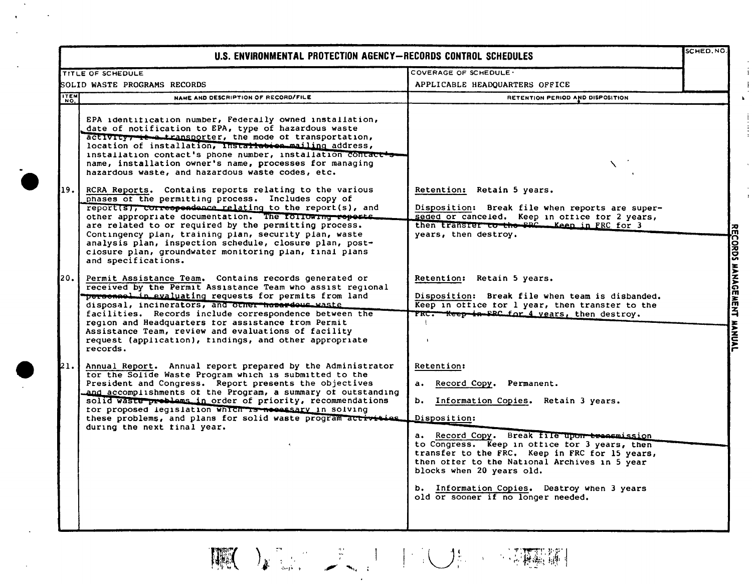| U.S. ENVIRONMENTAL PROTECTION AGENCY-RECORDS CONTROL SCHEDULES |                                                                                                                                                                                                                                                                                                                                                                                                                                                                                                                                                                                                                                                                                                                                                                                                                                                                                                                                                                                                                                                                                                                                                                                                                                                                                                                                      |                                                                                                                                                                                                                                                                                                                                                                                                                             | <b>SCHED.NO</b>           |
|----------------------------------------------------------------|--------------------------------------------------------------------------------------------------------------------------------------------------------------------------------------------------------------------------------------------------------------------------------------------------------------------------------------------------------------------------------------------------------------------------------------------------------------------------------------------------------------------------------------------------------------------------------------------------------------------------------------------------------------------------------------------------------------------------------------------------------------------------------------------------------------------------------------------------------------------------------------------------------------------------------------------------------------------------------------------------------------------------------------------------------------------------------------------------------------------------------------------------------------------------------------------------------------------------------------------------------------------------------------------------------------------------------------|-----------------------------------------------------------------------------------------------------------------------------------------------------------------------------------------------------------------------------------------------------------------------------------------------------------------------------------------------------------------------------------------------------------------------------|---------------------------|
|                                                                | <b>TITLE OF SCHEDULE</b>                                                                                                                                                                                                                                                                                                                                                                                                                                                                                                                                                                                                                                                                                                                                                                                                                                                                                                                                                                                                                                                                                                                                                                                                                                                                                                             | COVERAGE OF SCHEDULE                                                                                                                                                                                                                                                                                                                                                                                                        |                           |
| SOLID WASTE PROGRAMS RECORDS                                   |                                                                                                                                                                                                                                                                                                                                                                                                                                                                                                                                                                                                                                                                                                                                                                                                                                                                                                                                                                                                                                                                                                                                                                                                                                                                                                                                      | APPLICABLE HEADQUARTERS OFFICE                                                                                                                                                                                                                                                                                                                                                                                              |                           |
| <b>ITEM</b>                                                    | NAME AND DESCRIPTION OF RECORD/FILE                                                                                                                                                                                                                                                                                                                                                                                                                                                                                                                                                                                                                                                                                                                                                                                                                                                                                                                                                                                                                                                                                                                                                                                                                                                                                                  | RETENTION PERIOD AND DISPOSITION                                                                                                                                                                                                                                                                                                                                                                                            |                           |
| 19. l<br>20.                                                   | EPA identification number, Federally owned installation,<br>date of notification to EPA, type of hazardous waste<br>activity; it a transporter, the mode of transportation,<br>location of installation, Installation mailing address,<br>installation contact's phone number, installation contact<br>name, installation owner's name, processes for managing<br>hazardous waste, and hazardous waste codes, etc.<br>RCRA Reports. Contains reports relating to the various<br>phases of the permitting process. Includes copy of<br>report(s), correspondence relating to the report(s), and<br>other appropriate documentation. The following reports.<br>are related to or required by the permitting process.<br>Contingency plan, training plan, security plan, waste<br>analysis plan, inspection schedule, closure plan, post-<br>closure plan, groundwater monitoring plan, tinal plans<br>and specifications.<br>Permit Assistance Team. Contains records generated or<br>received by the Permit Assistance Team who assist regional<br>personnel in evaluating requests for permits from land<br>disposal, incinerators, and other hapardous waste<br>facilities. Records include correspondence between the<br>region and Headquarters for assistance from Permit<br>Assistance Team, review and evaluations of facility | Retention: Retain 5 years.<br>Disposition: Break file when reports are super-<br>seded or canceled. Keep in office for 2 years,<br>then transfer to the FRC Keep in FRC for 3<br>years, then destroy.<br>Retention: Retain 5 years.<br>Disposition: Break file when team is disbanded.<br>Keep in office for 1 year, then transfer to the<br>FRC. Keep in FRC for 4 years, then destroy.                                    | RECORDS MANAGEMENT MANUAL |
| 21.                                                            | request (application), findings, and other appropriate<br>records.<br>Annual Report. Annual report prepared by the Administrator<br>for the Solide Waste Program which is submitted to the<br>President and Congress. Report presents the objectives<br>and accomplishments of the Program, a summary of outstanding<br>solid waste problems in order of priority, recommendations<br>for proposed legislation which is necessary in solving<br>these problems, and plans for solid waste program activities.<br>during the next final year.                                                                                                                                                                                                                                                                                                                                                                                                                                                                                                                                                                                                                                                                                                                                                                                         | Retention:<br>a. Record Copy. Permanent.<br>Information Copies. Retain 3 years.<br>ь.<br>Disposition:<br>a. Record Copy. Break file upon treasmission<br>to Congress. Keep in office for 3 years, then<br>transfer to the FRC. Keep in FRC for 15 years,<br>then offer to the National Archives in 5 year<br>blocks when 20 years old.<br>b. Information Copies. Destroy when 3 years<br>old or sooner if no longer needed. |                           |

THE DESIGNATION OF THE RESERVE

 $\begin{array}{c} 1 \\ 1 \\ 1 \\ 1 \end{array}$ 

 $\bar{Y}$ 

 $\sim$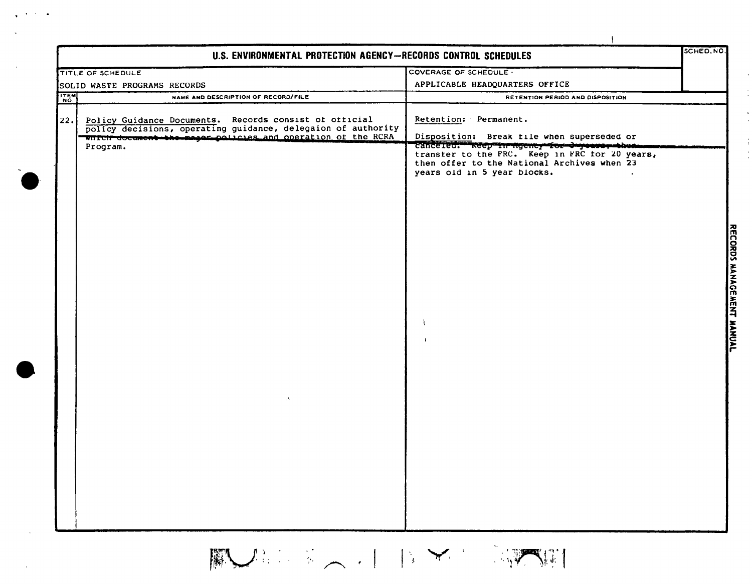| <b>TITLE OF SCHEDULE</b> |                                                                                                                                                                                       | COVERAGE OF SCHEDULE -                                                                                                            |  |
|--------------------------|---------------------------------------------------------------------------------------------------------------------------------------------------------------------------------------|-----------------------------------------------------------------------------------------------------------------------------------|--|
|                          | SOLID WASTE PROGRAMS RECORDS                                                                                                                                                          | APPLICABLE HEADQUARTERS OFFICE                                                                                                    |  |
| ITEM                     | NAME AND DESCRIPTION OF RECORD/FILE                                                                                                                                                   | RETENTION PERIOD AND DISPOSITION                                                                                                  |  |
| 22.                      | Policy Guidance Documents. Records consist of official<br>policy decisions, operating guidance, delegaion of authority<br>which document the major policies and operation of the RCRA | Retention: Permanent.<br>Disposition: Break tile when superseded or                                                               |  |
| Program.                 | V.                                                                                                                                                                                    | canceled. Neep in ngency for dryease, the americans<br>then offer to the National Archives when 23<br>years old in 5 year blocks. |  |

 $\sqrt{2}$  ,  $\sqrt{2}$  ,  $\sqrt{2}$ 

 $\mathbb{R}$ 

 $\frac{1}{\sqrt{2}}$  $\frac{1}{2}$ 

 $\frac{1}{3}$